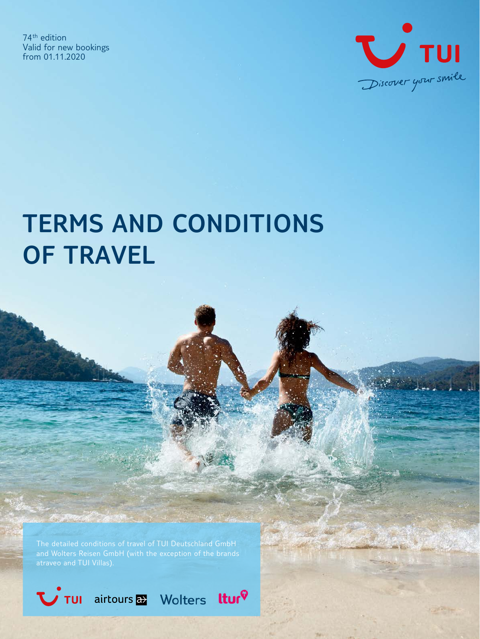74th edition Valid for new bookings from 01.11.2020



# **TERMS AND CONDITIONS OF TRAVEL**

The detailed conditions of travel of TUI Deutschland GmbH

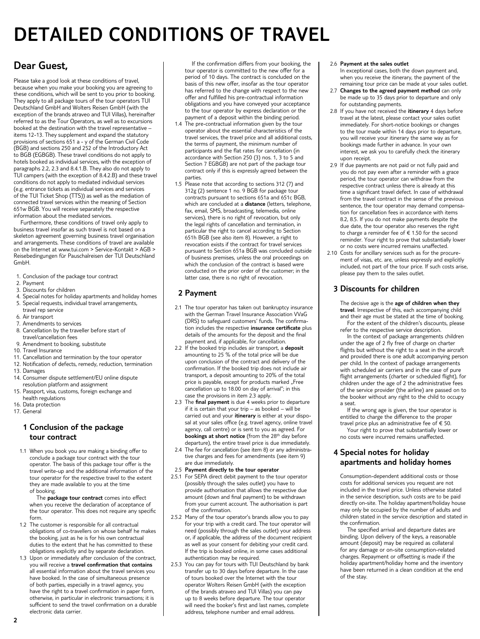## **DETAILED CONDITIONS OF TRAVEL**

### **Dear Guest,**

Please take a good look at these conditions of travel, because when you make your booking you are agreeing to these conditions, which will be sent to you prior to booking. They apply to all package tours of the tour operators TUI Deutschland GmbH and Wolters Reisen GmbH (with the exception of the brands atraveo and TUI Villas), hereinafter referred to as the Tour Operators, as well as to excursions booked at the destination with the travel representative – items 12-13. They supplement and expand the statutory provisions of sections 651 a - y of the German Civil Code (BGB) and sections 250 and 252 of the Introductory Act to BGB (EGBGB). These travel conditions do not apply to hotels booked as individual services, with the exception of paragraphs 2.2, 2.3 and 8.4.1.B. They also do not apply to TUI campers (with the exception of 8.4.2.B) and these travel conditions do not apply to mediated individual services (e.g. entrance tickets as individual services and services of the TUI Ticket Shop (TTS)) as well as the mediation of connected travel services within the meaning of Section 651w BGB. You will receive separately the respective information about the mediated services.

Furthermore, these conditions of travel only apply to business travel insofar as such travel is not based on a skeleton agreement governing business travel organisation and arrangements. These conditions of travel are available on the Internet at www.tui.com > Service-Kontakt > AGB > Reisebedingungen für Pauschalreisen der TUI Deutschland GmbH.

- 1. Conclusion of the package tour contract
- 2. Payment
- 3. Discounts for children
- 4. Special notes for holiday apartments and holiday homes 5. Special requests, individual travel arrangements,
- travel rep service
- 6. Air transport
- 7. Amendments to services
- 8. Cancellation by the traveller before start of travel/cancellation fees
- 9. Amendment to booking, substitute
- 10. Travel Insurance
- 11. Cancellation and termination by the tour operator
- 12. Notification of defects, remedy, reduction, termination
- 13. Damages
- 14. Consumer dispute settlement/EU online dispute resolution platform and assignment
- 15. Passport, visa, customs, foreign exchange and health regulations
- 16. Data protection
- 17. General

#### **1 Conclusion of the package tour contract**

1.1 When you book you are making a binding offer to conclude a package tour contract with the tour operator. The basis of this package tour offer is the travel write-up and the additional information of the tour operator for the respective travel to the extent they are made available to you at the time of booking.

The **package tour contract** comes into effect when you receive the declaration of acceptance of the tour operator. This does not require any specific form.

- 1.2 The customer is responsible for all contractual obligations of co-travellers on whose behalf he makes the booking, just as he is for his own contractual duties to the extent that he has committed to these obligations explicitly and by separate declaration.
- 1.3 Upon or immediately after conclusion of the contract, you will receive a **travel confirmation that contains** all essential information about the travel services you have booked. In the case of simultaneous presence of both parties, especially in a travel agency, you have the right to a travel confirmation in paper form, otherwise, in particular in electronic transactions; it is sufficient to send the travel confirmation on a durable electronic data carrier.

If the confirmation differs from your booking, the tour operator is committed to the new offer for a period of 10 days. The contract is concluded on the basis of this new offer, insofar as the tour operator has referred to the change with respect to the new offer and fulfilled his pre-contractual information obligations and you have conveyed your acceptance to the tour operator by express declaration or the payment of a deposit within the binding period.

- 1.4 The pre-contractual information given by the tour operator about the essential characteristics of the travel services, the travel price and all additional costs, the terms of payment, the minimum number of participants and the flat rates for cancellation (in accordance with Section 250 (3) nos. 1, 3 to 5 and Section 7 EGBGB) are not part of the package tour contract only if this is expressly agreed between the parties.
- 1.5 Please note that according to sections 312 (7) and 312g (2) sentence 1 no. 9 BGB for package tour contracts pursuant to sections 651a and 651c BGB, which are concluded at a **distance** (letters, telephone, fax, email, SMS, broadcasting, telemedia, online services), there is no right of revocation, but only the legal rights of cancellation and termination, in particular the right to cancel according to Section 651h BGB (see also item 8). However, a right to revocation exists if the contract for travel services pursuant to Section 651a BGB was concluded outside of business premises, unless the oral proceedings on which the conclusion of the contract is based were conducted on the prior order of the customer; in the latter case, there is no right of revocation.

#### **2 Payment**

- 2.1 The tour operator has taken out bankruptcy insurance with the German Travel Insurance Association VVaG (DRS) to safeguard customers' funds. The confirmation includes the respective **insurance certificate** plus details of the amounts for the deposit and the final payment and, if applicable, for cancellation.
- 2.2 If the booked trip includes air transport, a **deposit** amounting to 25 % of the total price will be due upon conclusion of the contract and delivery of the confirmation. If the booked trip does not include air transport, a deposit amounting to 20% of the total price is payable, except for products marked "Free cancellation up to 18.00 on day of arrival"; in this case the provisions in item 2.3 apply.
- 2.3 The **final payment** is due 4 weeks prior to departure if it is certain that your trip – as booked – will be carried out and your **itinerary** is either at your disposal at your sales office (e.g. travel agency, online travel agency, call centre) or is sent to you as agreed. For **bookings at short notice** (from the 28th day before departure), the entire travel price is due immediately.
- 2.4 The fee for cancellation (see item 8) or any administrative charges and fees for amendments (see item 9) are due immediately.
- 2.5 **Payment directly to the tour operator**
- 2.5.1 For SEPA direct debit payment to the tour operator (possibly through the sales outlet) you have to provide authorisation that allows the respective due amount (down and final payment) to be withdrawn from your current account. The authorisation is part of the confirmation.
- 2.5.2 Many of the tour operator's brands allow you to pay for your trip with a credit card. The tour operator will need (possibly through the sales outlet) your address or, if applicable, the address of the document recipient as well as your consent for debiting your credit card. If the trip is booked online, in some cases additional authentication may be required.
- 2.5.3 You can pay for tours with TUI Deutschland by bank transfer up to 30 days before departure. In the case of tours booked over the Internet with the tour operator Wolters Reisen GmbH (with the exception of the brands atraveo and TUI Villas) you can pay up to 8 weeks before departure. The tour operator will need the booker's first and last names, complete address, telephone number and email address.

#### 2.6 **Payment at the sales outlet**

 In exceptional cases, both the down payment and, when you receive the itinerary, the payment of the remaining tour price can be made at your sales outlet.

- 2.7 **Changes to the agreed payment method** can only be made up to 35 days prior to departure and only for outstanding payments.
- 2.8 If you have not received the **itinerary** 4 days before travel at the latest, please contact your sales outlet immediately. For short-notice bookings or changes to the tour made within 14 days prior to departure, you will receive your itinerary the same way as for bookings made further in advance. In your own interest, we ask you to carefully check the itinerary upon receipt.
- 2.9 If due payments are not paid or not fully paid and you do not pay even after a reminder with a grace period, the tour operator can withdraw from the respective contract unless there is already at this time a significant travel defect. In case of withdrawal from the travel contract in the sense of the previous sentence, the tour operator may demand compensation for cancellation fees in accordance with items 8.2, 8.5. If you do not make payments despite the due date, the tour operator also reserves the right to charge a reminder fee of € 1.50 for the second reminder. Your right to prove that substantially lower or no costs were incurred remains unaffected.
- 2.10 Costs for ancillary services such as for the procurement of visas, etc. are, unless expressly and explicitly included, not part of the tour price. If such costs arise, please pay them to the sales outlet.

#### **3 Discounts for children**

 The decisive age is the **age of children when they travel**. Irrespective of this, each accompanying child and their age must be stated at the time of booking. For the extent of the children's discounts, please

refer to the respective service description. In the context of package arrangements children under the age of 2 fly free of charge on charter flights but without the right to a seat in the aircraft and provided there is one adult accompanying person per child. In the context of package arrangements with scheduled air carriers and in the case of pure flight arrangements (charter or scheduled flight), for children under the age of 2 the administrative fees of the service provider (the airline) are passed on to the booker without any right to the child to occupy a seat.

If the wrong age is given, the tour operator is entitled to charge the difference to the proper travel price plus an administrative fee of € 50. Your right to prove that substantially lower or no costs were incurred remains unaffected.

#### **4 Special notes for holiday apartments and holiday homes**

 Consumption-dependent additional costs or those costs for additional services you request are not included in the travel price. Unless otherwise stated in the service description, such costs are to be paid directly on-site. The holiday apartment/holiday house may only be occupied by the number of adults and children stated in the service description and stated in the confirmation.

The specified arrival and departure dates are binding. Upon delivery of the keys, a reasonable amount (deposit) may be required as collateral for any damage or on-site consumption-related charges. Repayment or offsetting is made if the holiday apartment/holiday home and the inventory have been returned in a clean condition at the end of the stay.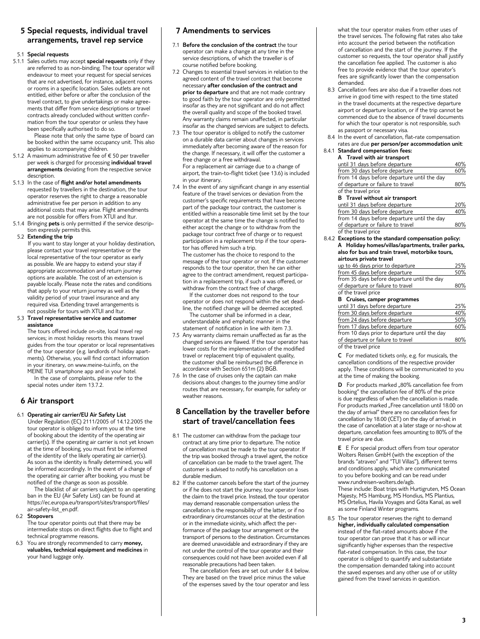#### **5 Special requests, individual travel arrangements, travel rep service**

#### 5.1 **Special requests**

5.1.1 Sales outlets may accept **special requests** only if they are referred to as non-binding. The tour operator will endeavour to meet your request for special services that are not advertised, for instance, adjacent rooms or rooms in a specific location. Sales outlets are not entitled, either before or after the conclusion of the travel contract, to give undertakings or make agreements that differ from service descriptions or travel contracts already concluded without written confirmation from the tour operator or unless they have been specifically authorised to do so.

Please note that only the same type of board can be booked within the same occupancy unit. This also applies to accompanying children.

- 5.1.2 A maximum administrative fee of € 50 per traveller per week is charged for processing **individual travel arrangements** deviating from the respective service description.
- 5.1.3 In the case of **flight and/or hotel amendments** requested by travellers in the destination, the tour operator reserves the right to charge a reasonable administrative fee per person in addition to any additional costs that may arise. Flight amendments are not possible for offers from XTUI and ltur.
- 5.1.4 Bringing **pets** is only permitted if the service description expressly permits this.

#### 5.2 **Extending the trip**

 If you want to stay longer at your holiday destination, please contact your travel representative or the local representative of the tour operator as early as possible. We are happy to extend your stay if appropriate accommodation and return journey options are available. The cost of an extension is payable locally. Please note the rates and conditions that apply to your return journey as well as the validity period of your travel insurance and any required visa. Extending travel arrangements is not possible for tours with XTUI and ltur.

#### 5.3 **Travel representative service and customer assistance**

 The tours offered include on-site, local travel rep services; in most holiday resorts this means travel guides from the tour operator or local representatives of the tour operator (e.g. landlords of holiday apartments). Otherwise, you will find contact information in your itinerary, on www.meine-tui.info, on the MEINE TUI smartphone app and in your hotel. In the case of complaints, please refer to the

special notes under item 13.7.2.

#### **6 Air transport**

6.1 **Operating air carrier/EU Air Safety List**

 Under Regulation (EC) 2111/2005 of 14.12.2005 the tour operator is obliged to inform you at the time of booking about the identity of the operating air carrier(s). If the operating air carrier is not yet known at the time of booking, you must first be informed of the identity of the likely operating air carrier(s). As soon as the identity is finally determined, you will be informed accordingly. In the event of a change of the operating air carrier after booking, you must be notified of the change as soon as possible.

The blacklist of air carriers subject to an operating ban in the EU (Air Safety List) can be found at https://ec.europa.eu/transport/sites/transport/files/ air-safety-list\_en.pdf.

#### 6.2 **Stopovers**

 The tour operator points out that there may be intermediate stops on direct flights due to flight and technical programme reasons.

 6.3 You are strongly recommended to carry **money, valuables, technical equipment and medicines** in your hand luggage only.

#### **7 Amendments to services**

- 7.1 **Before the conclusion of the contract** the tour operator can make a change at any time in the service descriptions, of which the traveller is of course notified before booking.
- 7.2 Changes to essential travel services in relation to the agreed content of the travel contract that become necessary **after conclusion of the contract and prior to departure** and that are not made contrary to good faith by the tour operator are only permitted insofar as they are not significant and do not affect the overall quality and scope of the booked travel. Any warranty claims remain unaffected, in particular insofar as the changed services are subject to defects.
- 7.3 The tour operator is obliged to notify the customer on a durable data carrier about changes in services immediately after becoming aware of the reason for the change. If necessary, it will offer the customer a free change or a free withdrawal.

 For a replacement air carriage due to a change of airport, the train-to-flight ticket (see 13.6) is included in your itinerary.

7.4 In the event of any significant change in any essential feature of the travel services or deviation from the customer's specific requirements that have become part of the package tour contract, the customer is entitled within a reasonable time limit set by the tour operator at the same time the change is notified to either accept the change or to withdraw from the package tour contract free of charge or to request participation in a replacement trip if the tour operator has offered him such a trip.

 The customer has the choice to respond to the message of the tour operator or not. If the customer responds to the tour operator, then he can either agree to the contract amendment, request participation in a replacement trip, if such a was offered, or withdraw from the contract free of charge.

If the customer does not respond to the tour operator or does not respond within the set deadline, the notified change will be deemed accepted. The customer shall be informed in a clear,

understandable and emphatic manner in the statement of notification in line with item 7.3.

- 7.5 Any warranty claims remain unaffected as far as the changed services are flawed. If the tour operator has lower costs for the implementation of the modified travel or replacement trip of equivalent quality, the customer shall be reimbursed the difference in accordance with Section 651m (2) BGB.
- 7.6 In the case of cruises only the captain can make decisions about changes to the journey time and/or routes that are necessary, for example, for safety or weather reasons.

#### **8 Cancellation by the traveller before start of travel/cancellation fees**

- 8.1 The customer can withdraw from the package tour contract at any time prior to departure. The notice of cancellation must be made to the tour operator. If the trip was booked through a travel agent, the notice of cancellation can be made to the travel agent. The customer is advised to notify his cancellation on a durable medium.
- 8.2 If the customer cancels before the start of the journey or if he does not start the journey, tour operator loses the claim to the travel price. Instead, the tour operator may demand reasonable compensation unless the cancellation is the responsibility of the latter, or if no extraordinary circumstances occur at the destination or in the immediate vicinity, which affect the performance of the package tour arrangement or the transport of persons to the destination. Circumstances are deemed unavoidable and extraordinary if they are not under the control of the tour operator and their consequences could not have been avoided even if all reasonable precautions had been taken.

The cancellation fees are set out under 8.4 below. They are based on the travel price minus the value of the expenses saved by the tour operator and less what the tour operator makes from other uses of the travel services. The following flat rates also take into account the period between the notification of cancellation and the start of the journey. If the customer so requests, the tour operator shall justify the cancellation fee applied. The customer is also free to provide evidence that the tour operator's fees are significantly lower than the compensation demanded.

8.3 Cancellation fees are also due if a traveller does not arrive in good time with respect to the time stated in the travel documents at the respective departure airport or departure location, or if the trip cannot be commenced due to the absence of travel documents for which the tour operator is not responsible, such as passport or necessary visa.

#### 8.4 In the event of cancellation, flat-rate compensation rates are due **per person/per accommodation unit**:

#### 8.4.1 **Standard compensation fees:**

| ∪.⊤. ⊥ | <b>Standard Compensation rees.</b>                    |     |
|--------|-------------------------------------------------------|-----|
|        | A Travel with air transport                           |     |
|        | until 31 days before departure                        | 40% |
|        | from 30 days before departure                         | 60% |
|        | from 14 days before departure until the day           |     |
|        | of departure or failure to travel                     | 80% |
|        | of the travel price                                   |     |
|        | <b>B</b> Travel without air transport                 |     |
|        | until 31 days before departure                        | 20% |
|        | from 30 days before departure                         | 40% |
|        | from 14 days before departure until the day           |     |
|        | of departure or failure to travel                     | 80% |
|        | of the travel price                                   |     |
|        | 8.4.2 Exceptions to the standard compensation policy: |     |
|        | A Holiday homes/villas/apartments, trailer parks,     |     |
|        | also for bus and train travel, motorbike tours,       |     |
|        | airtours private travel                               |     |
|        | up to 46 days prior to departure                      | 25% |
|        | from 45 days before departure                         | 50% |
|        | from 35 days before departure until the day           |     |
|        | of departure or failure to travel                     | 80% |
|        | of the travel price                                   |     |
|        | <b>B</b> Cruises, camper programmes                   |     |
|        | until 31 days before departure                        | 25% |
|        | from 30 days before departure                         | 40% |
|        | from 24 days before departure                         | 50% |
|        | from 17 dave hefore denarture                         | 60% |

| from 24 days before departure                 | 50% |
|-----------------------------------------------|-----|
| from 17 days before departure                 | 60% |
| from 10 days prior to departure until the day |     |
| of departure or failure to travel             | 80% |

of the travel price

 **C** For mediated tickets only, e.g. for musicals, the cancellation conditions of the respective provider apply. These conditions will be communicated to you at the time of making the booking.

**D** For products marked "80% cancellation fee from booking" the cancellation fee of 80% of the price is due regardless of when the cancellation is made. For products marked "Free cancellation until 18.00 on the day of arrival" there are no cancellation fees for cancellation by 18.00 (CET) on the day of arrival; in the case of cancellation at a later stage or no-show at departure, cancellation fees amounting to 80% of the travel price are due.

**E** E For special product offers from tour operator Wolters Reisen GmbH (with the exception of the brands "atraveo" and "TUI Villas"), different terms and conditions apply, which are communicated to you before booking and can be read under www.rundreisen-wolters.de/agb. These include: Boat trips with Hurtigruten, MS Ocean Majesty, MS Hamburg, MS Hondius, MS Plantius, MS Ortelius, Havila Voyages and Göta Kanal, as well as some Finland Winter programs.

8.5 The tour operator reserves the right to demand **higher, individually calculated compensation** instead of the flat-rated amounts above if the tour operator can prove that it has or will incur significantly higher expenses than the respective flat-rated compensation. In this case, the tour operator is obliged to quantify and substantiate the compensation demanded taking into account the saved expenses and any other use of or utility gained from the travel services in question.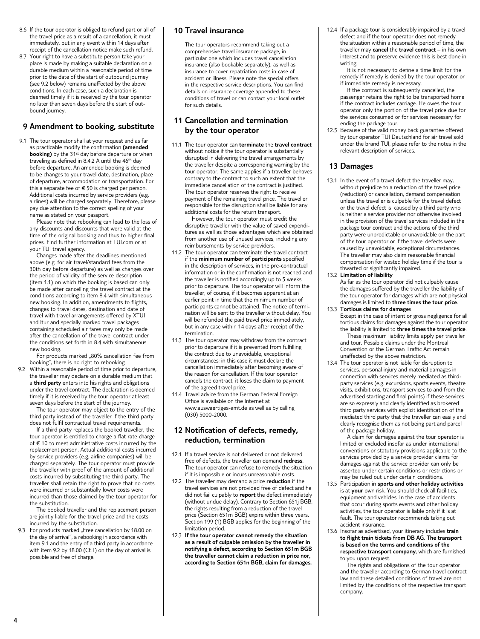- 8.6 If the tour operator is obliged to refund part or all of the travel price as a result of a cancellation, it must immediately, but in any event within 14 days after receipt of the cancellation notice make such refund.
- 8.7 Your right to have a substitute person take your place is made by making a suitable declaration on a durable medium within a reasonable period of time prior to the date of the start of outbound journey (see 9.2 below) remains unaffected by the above conditions. In each case, such a declaration is deemed timely if it is received by the tour operator no later than seven days before the start of outbound journey.

#### **9 Amendment to booking, substitute**

9.1 The tour operator shall at your request and as far as practicable modify the confirmation **(amended booking)** by the 31<sup>st</sup> day before departure or when traveling as defined in 8.4.2 A until the 46th day before departure. An amended booking is deemed to be changes to your travel date, destination, place of departure, accommodation or transportation. For this a separate fee of  $\epsilon$  50 is charged per person. Additional costs incurred by service providers (e.g. airlines) will be charged separately. Therefore, please pay due attention to the correct spelling of your name as stated on your passport.

Please note that rebooking can lead to the loss of any discounts and discounts that were valid at the time of the original booking and thus to higher final prices. Find further information at TUI.com or at your TUI travel agency.

Changes made after the deadlines mentioned above (e.g. for air travel/standard fees from the 30th day before departure) as well as changes over the period of validity of the service description (item 1.1) on which the booking is based can only be made after cancelling the travel contract at the conditions according to item 8.4 with simultaneous new booking. In addition, amendments to flights, changes to travel dates, destination and date of travel with travel arrangements offered by XTUI and ltur and specially marked travel packages containing scheduled air fares may only be made after the cancellation of the travel contract under the conditions set forth in 8.4 with simultaneous new booking.

For products marked "80% cancellation fee from booking", there is no right to rebooking.

 9.2 Within a reasonable period of time prior to departure, the traveller may declare on a durable medium that a **third party** enters into his rights and obligations under the travel contract. The declaration is deemed timely if it is received by the tour operator at least seven days before the start of the journey.

The tour operator may object to the entry of the third party instead of the traveller if the third party does not fulfil contractual travel requirements.

If a third party replaces the booked traveller, the tour operator is entitled to charge a flat rate charge of € 10 to meet administrative costs incurred by the replacement person. Actual additional costs incurred by service providers (e.g. airline companies) will be charged separately. The tour operator must provide the traveller with proof of the amount of additional costs incurred by substituting the third party. The traveller shall retain the right to prove that no costs were incurred or substantially lower costs were incurred than those claimed by the tour operator for the substitution.

The booked traveller and the replacement person are jointly liable for the travel price and the costs incurred by the substitution.

9.3 For products marked "Free cancellation by 18.00 on the day of arrival", a rebooking in accordance with item 9.1 and the entry of a third party in accordance with item 9.2 by 18.00 (CET) on the day of arrival is possible and free of charge.

#### **10 Travel insurance**

 The tour operators recommend taking out a comprehensive travel insurance package, in particular one which includes travel cancellation insurance (also bookable separately), as well as insurance to cover repatriation costs in case of accident or illness. Please note the special offers in the respective service descriptions. You can find details on insurance coverage appended to these conditions of travel or can contact your local outlet for such details.

#### **11 Cancellation and termination by the tour operator**

11.1 The tour operator can **terminate** the **travel contract** without notice if the tour operator is substantially disrupted in delivering the travel arrangements by the traveller despite a corresponding warning by the tour operator. The same applies if a traveller behaves contrary to the contract to such an extent that the immediate cancellation of the contract is justified. The tour operator reserves the right to receive payment of the remaining travel price. The traveller responsible for the disruption shall be liable for any additional costs for the return transport.

However, the tour operator must credit the disruptive traveller with the value of saved expenditures as well as those advantages which are obtained from another use of unused services, including any reimbursements by service providers.

- 11.2 The tour operator can terminate the travel contract if the **minimum number of participants** specified in the description of services, in the pre-contractual information or in the confirmation is not reached and the traveller is notified accordingly up to 5 weeks prior to departure. The tour operator will inform the traveller, of course, if it becomes apparent at an earlier point in time that the minimum number of participants cannot be attained. The notice of termination will be sent to the traveller without delay. You will be refunded the paid travel price immediately. but in any case within 14 days after receipt of the termination.
- 11.3 The tour operator may withdraw from the contract prior to departure if it is prevented from fulfilling the contract due to unavoidable, exceptional circumstances; in this case it must declare the cancellation immediately after becoming aware of the reason for cancellation. If the tour operator cancels the contract, it loses the claim to payment of the agreed travel price.
- 11.4 Travel advice from the German Federal Foreign Office is available on the Internet at www.auswaertiges-amt.de as well as by calling (030) 5000-2000.

#### **12 Notification of defects, remedy, reduction, termination**

- 12.1 If a travel service is not delivered or not delivered free of defects, the traveller can demand **redress**. The tour operator can refuse to remedy the situation if it is impossible or incurs unreasonable costs.
- 12.2 The traveller may demand a price **reduction** if the travel services are not provided free of defect and he did not fail culpably to **report** the defect immediately (without undue delay). Contrary to Section 651j BGB, the rights resulting from a reduction of the travel price (Section 651m BGB) expire within three years. Section 199 (1) BGB applies for the beginning of the limitation period.
- 12.3 **If the tour operator cannot remedy the situation as a result of culpable omission by the traveller in notifying a defect, according to Section 651m BGB the traveller cannot claim a reduction in price nor, according to Section 651n BGB, claim for damages.**

12.4 If a package tour is considerably impaired by a travel defect and if the tour operator does not remedy the situation within a reasonable period of time, the traveller may **cancel** the **travel contract** – in his own interest and to preserve evidence this is best done in writing.

It is not necessary to define a time limit for the remedy if remedy is denied by the tour operator or if immediate remedy is necessary.

If the contract is subsequently cancelled, the passenger retains the right to be transported home if the contract includes carriage. He owes the tour operator only the portion of the travel price due for the services consumed or for services necessary for ending the package tour.

12.5 Because of the valid money back guarantee offered by tour operator TUI Deutschland for air travel sold under the brand TUI, please refer to the notes in the relevant description of services.

#### **13 Damages**

13.1 In the event of a travel defect the traveller may, without prejudice to a reduction of the travel price (reduction) or cancellation, demand compensation unless the traveller is culpable for the travel defect or the travel defect is caused by a third party who is neither a service provider nor otherwise involved in the provision of the travel services included in the package tour contract and the actions of the third party were unpredictable or unavoidable on the part of the tour operator or if the travel defects were caused by unavoidable, exceptional circumstances. The traveller may also claim reasonable financial compensation for wasted holiday time if the tour is thwarted or significantly impaired.

#### 13.2 **Limitation of liability**

 As far as the tour operator did not culpably cause the damages suffered by the traveller the liability of the tour operator for damages which are not physical damages is limited to **three times the tour price**.

13.3 **Tortious claims for damage**s

 Except in the case of intent or gross negligence for all tortious claims for damages against the tour operator the liability is limited to **three times the travel price**. These maximum liability limits apply per traveller and tour. Possible claims under the Montreal

Convention or the German Traffic Act remain unaffected by the above restriction.

13.4 The tour operator is not liable for disruption to services, personal injury and material damages in connection with services merely mediated as thirdparty services (e.g. excursions, sports events, theatre visits, exhibitions, transport services to and from the advertised starting and final points) if these services are so expressly and clearly identified as brokered third party services with explicit identification of the mediated third party that the traveller can easily and clearly recognise them as not being part and parcel of the package holiday.

A claim for damages against the tour operator is limited or excluded insofar as under international conventions or statutory provisions applicable to the services provided by a service provider claims for damages against the service provider can only be asserted under certain conditions or restrictions or may be ruled out under certain conditions.

- 13.5 Participation in **sports and other holiday activities** is at **your** own risk. You should check all facilities, equipment and vehicles. In the case of accidents that occur during sports events and other holiday activities, the tour operator is liable only if it is at fault. The tour operator recommends taking out accident insurance.
- 13.6 Insofar as advertised, your itinerary includes **train to flight train tickets from DB AG**. **The transport is based on the terms and conditions of the respective transport company**, which are furnished to you upon request.

The rights and obligations of the tour operator and the traveller according to German travel contract law and these detailed conditions of travel are not limited by the conditions of the respective transport company.